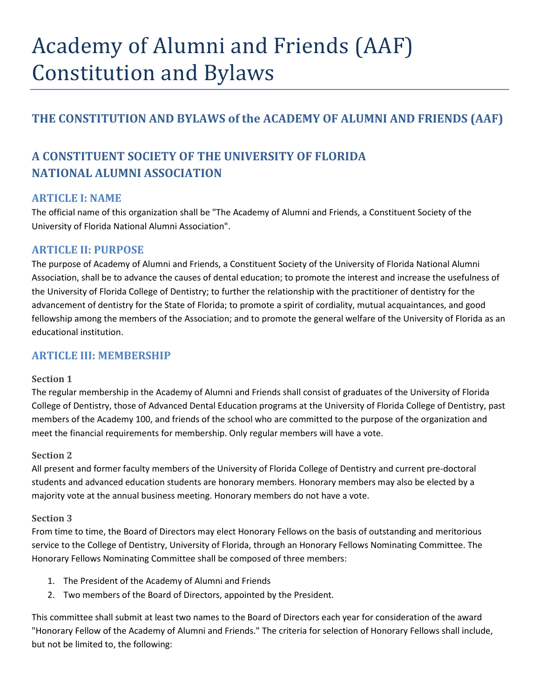# Academy of Alumni and Friends (AAF) Constitution and Bylaws

## **THE CONSTITUTION AND BYLAWS of the ACADEMY OF ALUMNI AND FRIENDS (AAF)**

# **A CONSTITUENT SOCIETY OF THE UNIVERSITY OF FLORIDA NATIONAL ALUMNI ASSOCIATION**

## **ARTICLE I: NAME**

The official name of this organization shall be "The Academy of Alumni and Friends, a Constituent Society of the University of Florida National Alumni Association".

## **ARTICLE II: PURPOSE**

The purpose of Academy of Alumni and Friends, a Constituent Society of the University of Florida National Alumni Association, shall be to advance the causes of dental education; to promote the interest and increase the usefulness of the University of Florida College of Dentistry; to further the relationship with the practitioner of dentistry for the advancement of dentistry for the State of Florida; to promote a spirit of cordiality, mutual acquaintances, and good fellowship among the members of the Association; and to promote the general welfare of the University of Florida as an educational institution.

## **ARTICLE III: MEMBERSHIP**

#### **Section 1**

The regular membership in the Academy of Alumni and Friends shall consist of graduates of the University of Florida College of Dentistry, those of Advanced Dental Education programs at the University of Florida College of Dentistry, past members of the Academy 100, and friends of the school who are committed to the purpose of the organization and meet the financial requirements for membership. Only regular members will have a vote.

#### **Section 2**

All present and former faculty members of the University of Florida College of Dentistry and current pre-doctoral students and advanced education students are honorary members. Honorary members may also be elected by a majority vote at the annual business meeting. Honorary members do not have a vote.

#### **Section 3**

From time to time, the Board of Directors may elect Honorary Fellows on the basis of outstanding and meritorious service to the College of Dentistry, University of Florida, through an Honorary Fellows Nominating Committee. The Honorary Fellows Nominating Committee shall be composed of three members:

- 1. The President of the Academy of Alumni and Friends
- 2. Two members of the Board of Directors, appointed by the President.

This committee shall submit at least two names to the Board of Directors each year for consideration of the award "Honorary Fellow of the Academy of Alumni and Friends." The criteria for selection of Honorary Fellows shall include, but not be limited to, the following: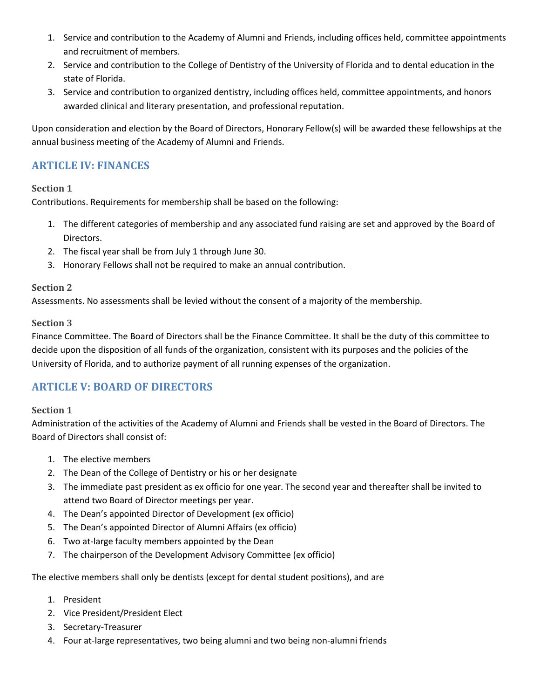- 1. Service and contribution to the Academy of Alumni and Friends, including offices held, committee appointments and recruitment of members.
- 2. Service and contribution to the College of Dentistry of the University of Florida and to dental education in the state of Florida.
- 3. Service and contribution to organized dentistry, including offices held, committee appointments, and honors awarded clinical and literary presentation, and professional reputation.

Upon consideration and election by the Board of Directors, Honorary Fellow(s) will be awarded these fellowships at the annual business meeting of the Academy of Alumni and Friends.

## **ARTICLE IV: FINANCES**

#### **Section 1**

Contributions. Requirements for membership shall be based on the following:

- 1. The different categories of membership and any associated fund raising are set and approved by the Board of Directors.
- 2. The fiscal year shall be from July 1 through June 30.
- 3. Honorary Fellows shall not be required to make an annual contribution.

#### **Section 2**

Assessments. No assessments shall be levied without the consent of a majority of the membership.

#### **Section 3**

Finance Committee. The Board of Directors shall be the Finance Committee. It shall be the duty of this committee to decide upon the disposition of all funds of the organization, consistent with its purposes and the policies of the University of Florida, and to authorize payment of all running expenses of the organization.

## **ARTICLE V: BOARD OF DIRECTORS**

#### **Section 1**

Administration of the activities of the Academy of Alumni and Friends shall be vested in the Board of Directors. The Board of Directors shall consist of:

- 1. The elective members
- 2. The Dean of the College of Dentistry or his or her designate
- 3. The immediate past president as ex officio for one year. The second year and thereafter shall be invited to attend two Board of Director meetings per year.
- 4. The Dean's appointed Director of Development (ex officio)
- 5. The Dean's appointed Director of Alumni Affairs (ex officio)
- 6. Two at-large faculty members appointed by the Dean
- 7. The chairperson of the Development Advisory Committee (ex officio)

The elective members shall only be dentists (except for dental student positions), and are

- 1. President
- 2. Vice President/President Elect
- 3. Secretary-Treasurer
- 4. Four at-large representatives, two being alumni and two being non-alumni friends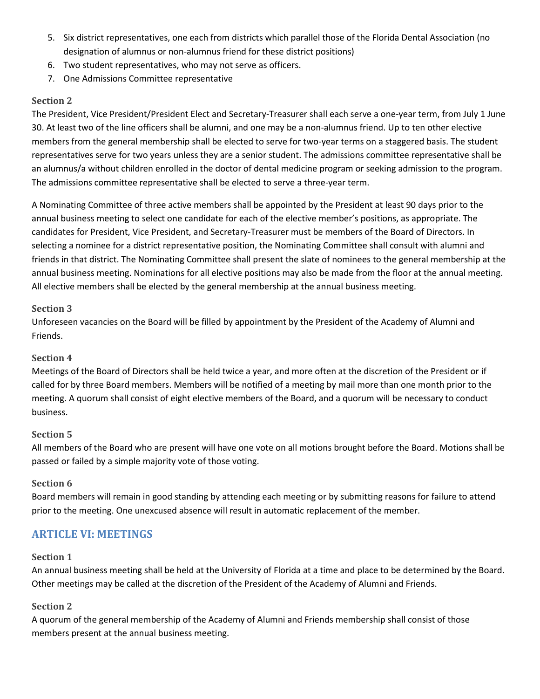- 5. Six district representatives, one each from districts which parallel those of the Florida Dental Association (no designation of alumnus or non-alumnus friend for these district positions)
- 6. Two student representatives, who may not serve as officers.
- 7. One Admissions Committee representative

#### **Section 2**

The President, Vice President/President Elect and Secretary-Treasurer shall each serve a one-year term, from July 1 June 30. At least two of the line officers shall be alumni, and one may be a non-alumnus friend. Up to ten other elective members from the general membership shall be elected to serve for two-year terms on a staggered basis. The student representatives serve for two years unless they are a senior student. The admissions committee representative shall be an alumnus/a without children enrolled in the doctor of dental medicine program or seeking admission to the program. The admissions committee representative shall be elected to serve a three-year term.

A Nominating Committee of three active members shall be appointed by the President at least 90 days prior to the annual business meeting to select one candidate for each of the elective member's positions, as appropriate. The candidates for President, Vice President, and Secretary-Treasurer must be members of the Board of Directors. In selecting a nominee for a district representative position, the Nominating Committee shall consult with alumni and friends in that district. The Nominating Committee shall present the slate of nominees to the general membership at the annual business meeting. Nominations for all elective positions may also be made from the floor at the annual meeting. All elective members shall be elected by the general membership at the annual business meeting.

#### **Section 3**

Unforeseen vacancies on the Board will be filled by appointment by the President of the Academy of Alumni and Friends.

#### **Section 4**

Meetings of the Board of Directors shall be held twice a year, and more often at the discretion of the President or if called for by three Board members. Members will be notified of a meeting by mail more than one month prior to the meeting. A quorum shall consist of eight elective members of the Board, and a quorum will be necessary to conduct business.

#### **Section 5**

All members of the Board who are present will have one vote on all motions brought before the Board. Motions shall be passed or failed by a simple majority vote of those voting.

#### **Section 6**

Board members will remain in good standing by attending each meeting or by submitting reasons for failure to attend prior to the meeting. One unexcused absence will result in automatic replacement of the member.

#### **ARTICLE VI: MEETINGS**

#### **Section 1**

An annual business meeting shall be held at the University of Florida at a time and place to be determined by the Board. Other meetings may be called at the discretion of the President of the Academy of Alumni and Friends.

#### **Section 2**

A quorum of the general membership of the Academy of Alumni and Friends membership shall consist of those members present at the annual business meeting.